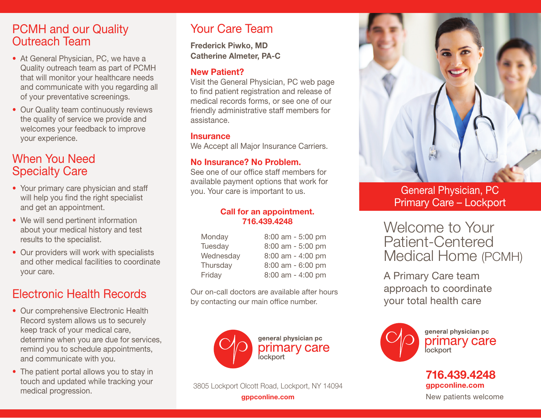### PCMH and our Quality Outreach Team

- At General Physician, PC, we have a Quality outreach team as part of PCMH that will monitor your healthcare needs and communicate with you regarding all of your preventative screenings.
- Our Quality team continuously reviews the quality of service we provide and welcomes your feedback to improve your experience.

### When You Need Specialty Care

- Your primary care physician and staff will help you find the right specialist and get an appointment.
- We will send pertinent information about your medical history and test results to the specialist.
- Our providers will work with specialists and other medical facilities to coordinate your care.

# Electronic Health Records

- Our comprehensive Electronic Health Record system allows us to securely keep track of your medical care, determine when you are due for services, remind you to schedule appointments, and communicate with you.
- The patient portal allows you to stay in touch and updated while tracking your medical progression.

## Your Care Team

Frederick Piwko, MD Catherine Almeter, PA-C

### New Patient?

Visit the General Physician, PC web page to find patient registration and release of medical records forms, or see one of our friendly administrative staff members for assistance.

#### **Insurance**

We Accept all Major Insurance Carriers.

### No Insurance? No Problem.

See one of our office staff members for available payment options that work for you. Your care is important to us.

#### Call for an appointment. 716.439.4248

| Monday    | 8:00 am - 5:00 pm     |
|-----------|-----------------------|
| Tuesday   | 8:00 am - 5:00 pm     |
| Wednesday | 8:00 am - 4:00 pm     |
| Thursday  | $8:00$ am - $6:00$ pm |
| Friday    | 8:00 am - 4:00 pm     |

Our on-call doctors are available after hours by contacting our main office number.



**gppconline.com** and the new patients welcome and the New patients welcome 3805 Lockport Olcott Road, Lockport, NY 14094



General Physician, PC Primary Care – Lockport

Welcome to Your Patient-Centered Medical Home (PCMH)

A Primary Care team approach to coordinate your total health care



general physician pc primary care **lockport** 

### 716.439.4248 gppconline.com